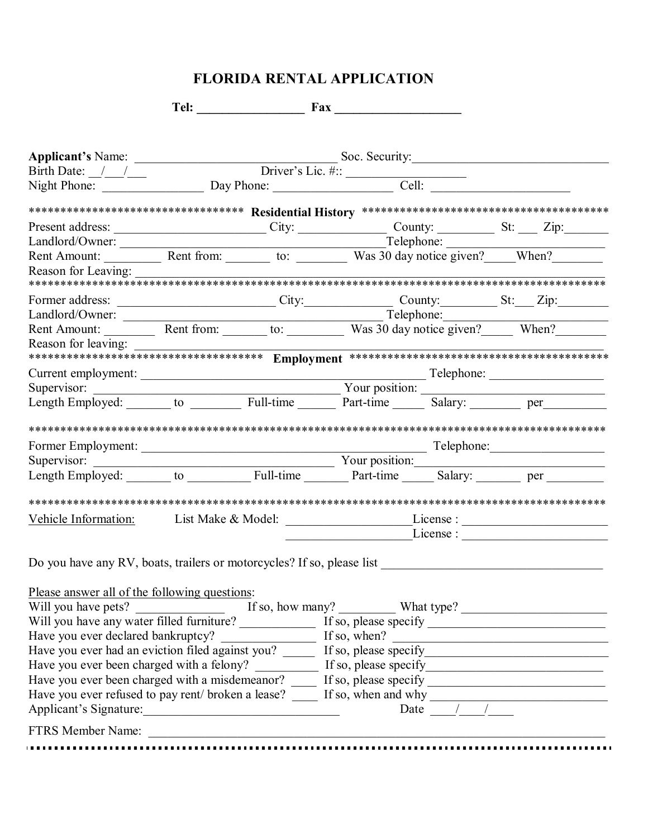# **FLORIDA RENTAL APPLICATION**

|                                                                                                                                                   |  |  |  | Present address: City: Curve County: County: County: County: County: City:                                                                                                                                                      |  |  |  |  |
|---------------------------------------------------------------------------------------------------------------------------------------------------|--|--|--|---------------------------------------------------------------------------------------------------------------------------------------------------------------------------------------------------------------------------------|--|--|--|--|
|                                                                                                                                                   |  |  |  | Landlord/Owner: Nent Amount: Nent Amount: Nent Amount: Nent Amount: Nent Amount: Nent Amount: Nent Amount: Nent Amount: Nent Amount: Nent Amount: Nent Amount: Nent Amount: Nent Amount: Nent Amount: Nent Amount: Nent Amount  |  |  |  |  |
|                                                                                                                                                   |  |  |  |                                                                                                                                                                                                                                 |  |  |  |  |
|                                                                                                                                                   |  |  |  |                                                                                                                                                                                                                                 |  |  |  |  |
|                                                                                                                                                   |  |  |  |                                                                                                                                                                                                                                 |  |  |  |  |
|                                                                                                                                                   |  |  |  |                                                                                                                                                                                                                                 |  |  |  |  |
|                                                                                                                                                   |  |  |  | Former address:<br>Landlord/Owner: City: County: Elephone: Telephone: Telephone: Telephone: Telephone: Telephone: Telephone: Telephone: Telephone: Telephone: Telephone: Telephone: Telephone: Telephone: Telephone: Telephone: |  |  |  |  |
|                                                                                                                                                   |  |  |  |                                                                                                                                                                                                                                 |  |  |  |  |
|                                                                                                                                                   |  |  |  |                                                                                                                                                                                                                                 |  |  |  |  |
|                                                                                                                                                   |  |  |  |                                                                                                                                                                                                                                 |  |  |  |  |
|                                                                                                                                                   |  |  |  |                                                                                                                                                                                                                                 |  |  |  |  |
|                                                                                                                                                   |  |  |  |                                                                                                                                                                                                                                 |  |  |  |  |
|                                                                                                                                                   |  |  |  |                                                                                                                                                                                                                                 |  |  |  |  |
|                                                                                                                                                   |  |  |  |                                                                                                                                                                                                                                 |  |  |  |  |
|                                                                                                                                                   |  |  |  |                                                                                                                                                                                                                                 |  |  |  |  |
|                                                                                                                                                   |  |  |  |                                                                                                                                                                                                                                 |  |  |  |  |
|                                                                                                                                                   |  |  |  |                                                                                                                                                                                                                                 |  |  |  |  |
|                                                                                                                                                   |  |  |  |                                                                                                                                                                                                                                 |  |  |  |  |
|                                                                                                                                                   |  |  |  |                                                                                                                                                                                                                                 |  |  |  |  |
|                                                                                                                                                   |  |  |  | Vehicle Information: List Make & Model: License : License : License : License : License : License : License : License : License : License : License : License : License : License : License : License : License : License : Li  |  |  |  |  |
|                                                                                                                                                   |  |  |  | $\frac{1}{2}$ License :                                                                                                                                                                                                         |  |  |  |  |
|                                                                                                                                                   |  |  |  |                                                                                                                                                                                                                                 |  |  |  |  |
|                                                                                                                                                   |  |  |  |                                                                                                                                                                                                                                 |  |  |  |  |
|                                                                                                                                                   |  |  |  |                                                                                                                                                                                                                                 |  |  |  |  |
| Please answer all of the following questions:                                                                                                     |  |  |  |                                                                                                                                                                                                                                 |  |  |  |  |
|                                                                                                                                                   |  |  |  |                                                                                                                                                                                                                                 |  |  |  |  |
|                                                                                                                                                   |  |  |  |                                                                                                                                                                                                                                 |  |  |  |  |
|                                                                                                                                                   |  |  |  |                                                                                                                                                                                                                                 |  |  |  |  |
| Have you ever declared bankruptcy? If so, when?<br>Have you ever had an eviction filed against you? If so, please specify                         |  |  |  |                                                                                                                                                                                                                                 |  |  |  |  |
|                                                                                                                                                   |  |  |  |                                                                                                                                                                                                                                 |  |  |  |  |
| Have you ever been charged with a misdemeanor? _____ If so, please specify _________________________                                              |  |  |  |                                                                                                                                                                                                                                 |  |  |  |  |
| Have you ever refused to pay rent/ broken a lease? $\frac{ }{ }$ If so, when and why $\frac{ }{ }$ Date $\frac{ }{ }$ $\frac{ }{ }$ $\frac{ }{ }$ |  |  |  |                                                                                                                                                                                                                                 |  |  |  |  |
|                                                                                                                                                   |  |  |  |                                                                                                                                                                                                                                 |  |  |  |  |
|                                                                                                                                                   |  |  |  |                                                                                                                                                                                                                                 |  |  |  |  |
|                                                                                                                                                   |  |  |  |                                                                                                                                                                                                                                 |  |  |  |  |